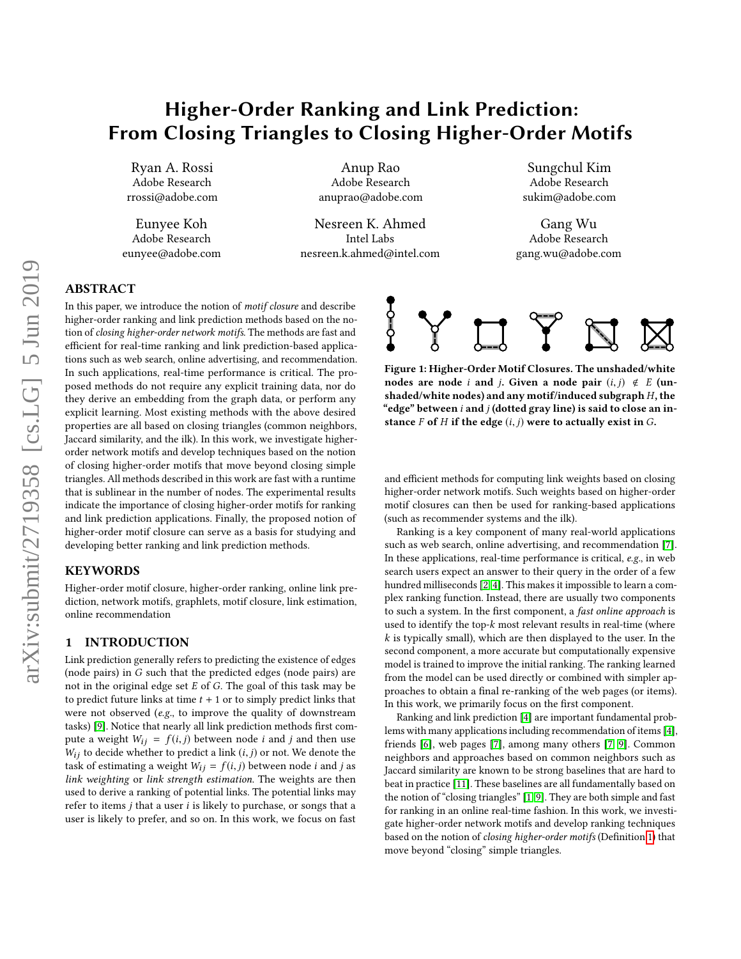# <span id="page-0-1"></span>Higher-Order Ranking and Link Prediction: From Closing Triangles to Closing Higher-Order Motifs

Ryan A. Rossi Adobe Research rrossi@adobe.com

Eunyee Koh Adobe Research eunyee@adobe.com

Anup Rao Adobe Research anuprao@adobe.com

Nesreen K. Ahmed Intel Labs nesreen.k.ahmed@intel.com

Sungchul Kim Adobe Research sukim@adobe.com

Gang Wu Adobe Research gang.wu@adobe.com

# ABSTRACT

In this paper, we introduce the notion of motif closure and describe higher-order ranking and link prediction methods based on the notion of closing higher-order network motifs. The methods are fast and efficient for real-time ranking and link prediction-based applications such as web search, online advertising, and recommendation. In such applications, real-time performance is critical. The proposed methods do not require any explicit training data, nor do they derive an embedding from the graph data, or perform any explicit learning. Most existing methods with the above desired properties are all based on closing triangles (common neighbors, Jaccard similarity, and the ilk). In this work, we investigate higherorder network motifs and develop techniques based on the notion of closing higher-order motifs that move beyond closing simple triangles. All methods described in this work are fast with a runtime that is sublinear in the number of nodes. The experimental results indicate the importance of closing higher-order motifs for ranking and link prediction applications. Finally, the proposed notion of higher-order motif closure can serve as a basis for studying and developing better ranking and link prediction methods.

## **KEYWORDS**

Higher-order motif closure, higher-order ranking, online link prediction, network motifs, graphlets, motif closure, link estimation, online recommendation

## 1 INTRODUCTION

Link prediction generally refers to predicting the existence of edges (node pairs) in G such that the predicted edges (node pairs) are not in the original edge set  $E$  of  $G$ . The goal of this task may be to predict future links at time  $t + 1$  or to simply predict links that were not observed (e.g., to improve the quality of downstream tasks) [\[9\]](#page-4-0). Notice that nearly all link prediction methods first compute a weight  $W_{ij} = f(i, j)$  between node *i* and *j* and then use  $W_{ij}$  to decide whether to predict a link  $(i, j)$  or not. We denote the task of estimating a weight  $W_{ij} = f(i, j)$  between node *i* and *j* as link weighting or link strength estimation. The weights are then used to derive a ranking of potential links. The potential links may refer to items  $j$  that a user  $i$  is likely to purchase, or songs that a user is likely to prefer, and so on. In this work, we focus on fast

<span id="page-0-0"></span>

Figure 1: Higher-Order Motif Closures. The unshaded/white nodes are node i and j. Given a node pair  $(i, j) \notin E$  (unshaded/white nodes) and any motif/induced subgraph  $H$ , the "edge" between  $i$  and  $j$  (dotted gray line) is said to close an instance F of H if the edge  $(i, j)$  were to actually exist in G.

and efficient methods for computing link weights based on closing higher-order network motifs. Such weights based on higher-order motif closures can then be used for ranking-based applications (such as recommender systems and the ilk).

Ranking is a key component of many real-world applications such as web search, online advertising, and recommendation [\[7\]](#page-4-1). In these applications, real-time performance is critical, e.g., in web search users expect an answer to their query in the order of a few hundred milliseconds [\[2,](#page-4-2) [4\]](#page-4-3). This makes it impossible to learn a complex ranking function. Instead, there are usually two components to such a system. In the first component, a fast online approach is used to identify the top- $k$  most relevant results in real-time (where  $k$  is typically small), which are then displayed to the user. In the second component, a more accurate but computationally expensive model is trained to improve the initial ranking. The ranking learned from the model can be used directly or combined with simpler approaches to obtain a final re-ranking of the web pages (or items). In this work, we primarily focus on the first component.

Ranking and link prediction [\[4\]](#page-4-3) are important fundamental problems with many applications including recommendation of items [\[4\]](#page-4-3), friends [\[6\]](#page-4-4), web pages [\[7\]](#page-4-1), among many others [\[7,](#page-4-1) [9\]](#page-4-0). Common neighbors and approaches based on common neighbors such as Jaccard similarity are known to be strong baselines that are hard to beat in practice [\[11\]](#page-4-5). These baselines are all fundamentally based on the notion of "closing triangles" [\[1,](#page-4-6) [9\]](#page-4-0). They are both simple and fast for ranking in an online real-time fashion. In this work, we investigate higher-order network motifs and develop ranking techniques based on the notion of closing higher-order motifs (Definition [1\)](#page-1-0) that move beyond "closing" simple triangles.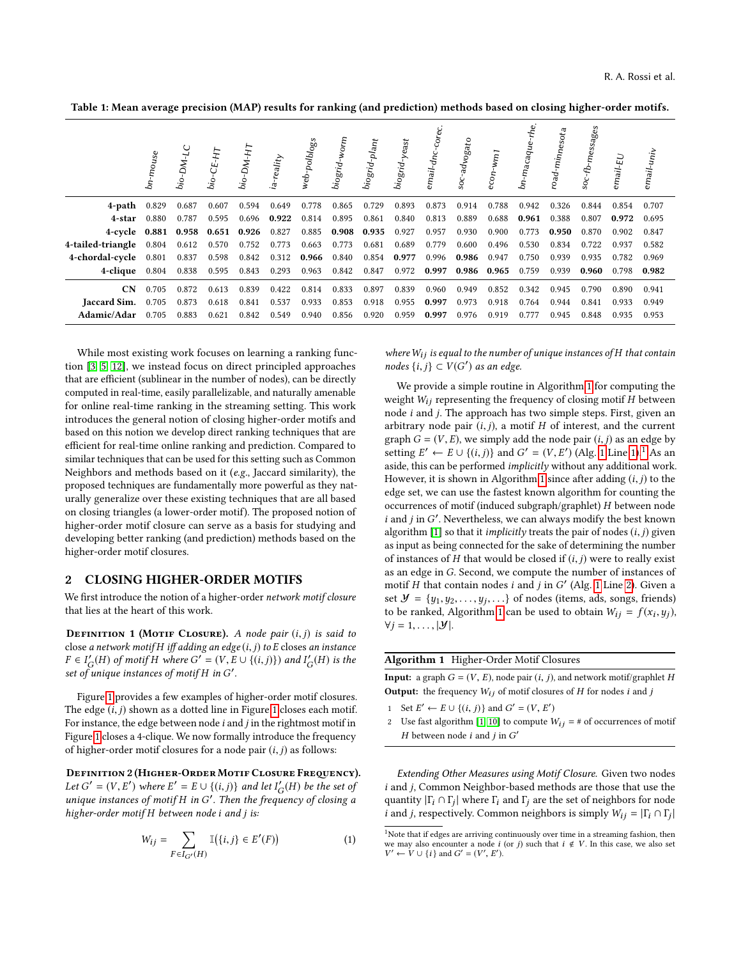<span id="page-1-2"></span>Table 1: Mean average precision (MAP) results for ranking (and prediction) methods based on closing higher-order motifs.

|                         | bn-mouse | ب<br>bio-D <sub>M</sub> . | ပုံ<br>فن       | bio-DM-HT | reality | web-polblogs | biogrid-worm | biogrid-plant | biogrid-yeast | email-d <sub>nc</sub> . | advogato<br>50c | econ- | $b$ п-таса $q$ и $\epsilon$ | road-minnesota | <sup>1-</sup> messages<br>¢ | mail-EU |       |
|-------------------------|----------|---------------------------|-----------------|-----------|---------|--------------|--------------|---------------|---------------|-------------------------|-----------------|-------|-----------------------------|----------------|-----------------------------|---------|-------|
| $4$ -path $0.829$       |          | 0.687                     | 0.607           | 0.594     | 0.649   | 0.778        | 0.865        | 0.729         | 0.893         | 0.873                   | 0.914           | 0.788 | 0.942                       | 0.326          | 0.844                       | 0.854   | 0.707 |
| 4-star                  | 0.880    | 0.787                     | 0.595           | 0.696     | 0.922   | 0.814        | 0.895        | 0.861         | 0.840         | 0.813                   | 0.889           | 0.688 | 0.961                       | 0.388          | 0.807                       | 0.972   | 0.695 |
| 4-cycle 0.881           |          | 0.958                     | $0.651$ $0.926$ |           | 0.827   | 0.885        | 0.908        | 0.935         | 0.927         | 0.957                   | 0.930           | 0.900 | 0.773                       | 0.950          | 0.870                       | 0.902   | 0.847 |
| 4-tailed-triangle 0.804 |          | 0.612                     | 0.570           | 0.752     | 0.773   | 0.663        | 0.773        | 0.681         | 0.689         | 0.779                   | 0.600           | 0.496 | 0.530                       | 0.834          | 0.722                       | 0.937   | 0.582 |
| 4-chordal-cycle         | 0.801    | 0.837                     | 0.598           | 0.842     | 0.312   | 0.966        | 0.840        | 0.854         | 0.977         | 0.996                   | 0.986           | 0.947 | 0.750                       | 0.939          | 0.935                       | 0.782   | 0.969 |
| 4-clique                | 0.804    | 0.838                     | 0.595           | 0.843     | 0.293   | 0.963        | 0.842        | 0.847         | 0.972         | 0.997                   | 0.986           | 0.965 | 0.759                       | 0.939          | 0.960                       | 0.798   | 0.982 |
| <b>CN</b>               | 0.705    | 0.872                     | 0.613           | 0.839     | 0.422   | 0.814        | 0.833        | 0.897         | 0.839         | 0.960                   | 0.949           | 0.852 | 0.342                       | 0.945          | 0.790                       | 0.890   | 0.941 |
| Jaccard Sim.            | 0.705    | 0.873                     | 0.618           | 0.841     | 0.537   | 0.933        | 0.853        | 0.918         | 0.955         | 0.997                   | 0.973           | 0.918 | 0.764                       | 0.944          | 0.841                       | 0.933   | 0.949 |
| Adamic/Adar             | 0.705    | 0.883                     | 0.621           | 0.842     | 0.549   | 0.940        | 0.856        | 0.920         | 0.959         | 0.997                   | 0.976           | 0.919 | 0.777                       | 0.945          | 0.848                       | 0.935   | 0.953 |

While most existing work focuses on learning a ranking function [\[3,](#page-4-7) [5,](#page-4-8) [12\]](#page-4-9), we instead focus on direct principled approaches that are efficient (sublinear in the number of nodes), can be directly computed in real-time, easily parallelizable, and naturally amenable for online real-time ranking in the streaming setting. This work introduces the general notion of closing higher-order motifs and based on this notion we develop direct ranking techniques that are efficient for real-time online ranking and prediction. Compared to similar techniques that can be used for this setting such as Common Neighbors and methods based on it (e.g., Jaccard similarity), the proposed techniques are fundamentally more powerful as they naturally generalize over these existing techniques that are all based on closing triangles (a lower-order motif). The proposed notion of higher-order motif closure can serve as a basis for studying and developing better ranking (and prediction) methods based on the higher-order motif closures.

# 2 CLOSING HIGHER-ORDER MOTIFS

We first introduce the notion of a higher-order network motif closure that lies at the heart of this work.

<span id="page-1-0"></span>**DEFINITION 1 (MOTIF CLOSURE).** A node pair  $(i, j)$  is said to close a network motif H iff adding an edge  $(i, j)$  to E closes an instance  $F \in I'_{\mathcal{G}}(H)$  of motif H where  $G' = (V, E \cup \{(i, j)\})$  and  $I'_{\mathcal{G}}(H)$  is the set of unique instances of motif H in  $G'$ set of unique instances of motif  $H$  in  $G'$ .

Figure [1](#page-0-0) provides a few examples of higher-order motif closures. The edge  $(i, j)$  shown as a dotted line in Figure [1](#page-0-0) closes each motif. For instance, the edge between node i and j in the rightmost motif in Figure [1](#page-0-0) closes a 4-clique. We now formally introduce the frequency of higher-order motif closures for a node pair  $(i, j)$  as follows:

DEFINITION 2 (HIGHER-ORDER MOTIF CLOSURE FREQUENCY). Let  $G' = (V, E')$  where  $E' = E \cup \{(i, j)\}$  and let  $I'_{G}(H)$  be the set of unique instances of motif H in  $G'$ . Then the frequency of election a unique instances of motif  $H$  in  $G'$ . Then the frequency of closing a higher-order motif  $H$  between node i and i is: higher-order motif H between node i and j is:

$$
W_{ij} = \sum_{F \in I_{G'}(H)} \mathbb{I}(\{i,j\} \in E'(F)) \tag{1}
$$

where  $W_{ij}$  is equal to the number of unique instances of H that contain nodes  $\{i, j\}$  ⊂  $V(G')$  as an edge.

We provide a simple routine in Algorithm [1](#page-1-1) for computing the weight  $W_{ij}$  representing the frequency of closing motif H between node i and j. The approach has two simple steps. First, given an arbitrary node pair  $(i, j)$ , a motif  $H$  of interest, and the current graph  $G = (V, E)$ , we simply add the node pair  $(i, j)$  as an edge by setting  $E' \leftarrow E \cup \{(i, j)\}$  and  $G' = (V, E')$  (Alg. [1](#page-1-1) Line [1\)](#page-1-1).<sup>[1](#page-0-1)</sup> As an axide this can be nerformed *implicitly without any additional work* aside, this can be performed *implicitly* without any additional work. However, it is shown in Algorithm [1](#page-1-1) since after adding  $(i, j)$  to the edge set, we can use the fastest known algorithm for counting the occurrences of motif (induced subgraph/graphlet) H between node *i* and *j* in G'. Nevertheless, we can always modify the best known algorithm [1] so that it *implicitly* treats the pair of podes  $(i, j)$  given algorithm [\[1\]](#page-4-6) so that it *implicitly* treats the pair of nodes  $(i, j)$  given as input as being connected for the sake of determining the number of instances of  $H$  that would be closed if  $(i, j)$  were to really exist as an edge in G. Second, we compute the number of instances of motif H that contain nodes i and j in G' (Alg. [1](#page-1-1) Line [2\)](#page-1-1). Given a<br>set  $M = \{u_1, u_2, \ldots, u_n\}$  of nodes (items ads songs friends) set  $\mathcal{Y} = \{y_1, y_2, \dots, y_j, \dots\}$  of nodes (items, ads, songs, friends)<br>to be ranked. Algorithm 1 can be used to obtain  $W_{ij} = f(x_i, y_j)$ . to be ranked, Algorithm [1](#page-1-1) can be used to obtain  $W_{ij} = f(x_i, y_j)$ ,<br> $\forall i = 1$   $|V|$  $\forall j = 1, \ldots, |\mathcal{Y}|.$ 

#### <span id="page-1-1"></span>Algorithm 1 Higher-Order Motif Closures

**Input:** a graph  $G = (V, E)$ , node pair  $(i, j)$ , and network motif/graphlet H **Output:** the frequency  $W_{ij}$  of motif closures of  $H$  for nodes  $i$  and  $j$ 

1 Set  $E' \leftarrow E \cup \{(i, j)\}\$ and  $G' = (V, E')$ 

Extending Other Measures using Motif Closure. Given two nodes i and j, Common Neighbor-based methods are those that use the quantity  $|\Gamma_i \cap \Gamma_j|$  where  $\Gamma_i$  and  $\Gamma_j$  are the set of neighbors for node<br>i and i respectively Common neighbors is simply  $W_i = |\Gamma_i \cap \Gamma_j|$ *i* and *j*, respectively. Common neighbors is simply  $W_{ij} = |\Gamma_i \cap \Gamma_j|$ 

<sup>2</sup> Use fast algorithm [\[1,](#page-4-6) [10\]](#page-4-10) to compute  $W_{ij} = #$  of occurrences of motif *H* between node *i* and *j* in  $G'$ 

 $^{\rm 1}$  Note that if edges are arriving continuously over time in a streaming fashion, then we may also encounter a node i (or j) such that  $i \notin V$ . In this case, we also set  $V' \leftarrow V \cup \{i\}$  and  $G' = (V', E')$ .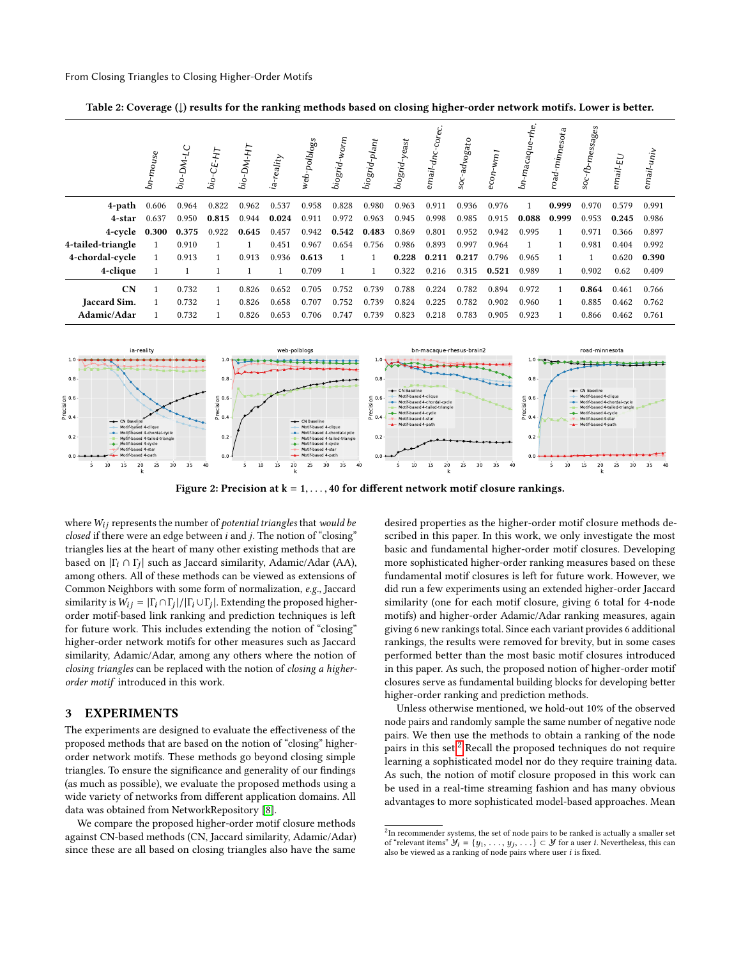<span id="page-2-0"></span>Table 2: Coverage (↓) results for the ranking methods based on closing higher-order network motifs. Lower is better.

|                     | bn-mouse | $bio$ -DM-LC | $bio-CE-HT$ | $bio-DM-HT$ | ia-reality | web-polblogs | Worm<br>biogrid- | biogrid-plant | biogrid-yeast | email-d <sub>n</sub> | advogato<br>$\overline{\text{Soc}}$ | econ- | $b$ п-таса $q$ и $\epsilon$ | road-minnesota | nessages-<br>$\sec$ - $fb$ | $email$ - $EU$ | email-univ |
|---------------------|----------|--------------|-------------|-------------|------------|--------------|------------------|---------------|---------------|----------------------|-------------------------------------|-------|-----------------------------|----------------|----------------------------|----------------|------------|
| 4-path              | 0.606    | 0.964        | 0.822       | 0.962       | 0.537      | 0.958        | 0.828            | 0.980         | 0.963         | 0.911                | 0.936                               | 0.976 |                             | 0.999          | 0.970                      | 0.579          | 0.991      |
| 4-star              | 0.637    | 0.950        | 0.815       | 0.944       | 0.024      | 0.911        | 0.972            | 0.963         | 0.945         | 0.998                | 0.985                               | 0.915 | 0.088                       | 0.999          | 0.953                      | 0.245          | 0.986      |
| 4-cycle             | 0.300    | 0.375        | 0.922       | 0.645       | 0.457      | 0.942        | 0.542            | 0.483         | 0.869         | 0.801                | 0.952                               | 0.942 | 0.995                       |                | 0.971                      | 0.366          | 0.897      |
| 4-tailed-triangle   | 1        | 0.910        |             |             | 0.451      | 0.967        | 0.654            | 0.756         | 0.986         | 0.893                | 0.997                               | 0.964 |                             |                | 0.981                      | 0.404          | 0.992      |
| 4-chordal-cycle     | 1        | 0.913        |             | 0.913       | 0.936      | 0.613        | 1                |               | 0.228         | 0.211                | 0.217                               | 0.796 | 0.965                       |                | 1                          | 0.620          | 0.390      |
| 4-clique            |          |              |             |             |            | 0.709        | $\mathbf{1}$     |               | 0.322         | 0.216                | 0.315                               | 0.521 | 0.989                       |                | 0.902                      | 0.62           | 0.409      |
| CN                  | 1        | 0.732        |             | 0.826       | 0.652      | 0.705        | 0.752            | 0.739         | 0.788         | 0.224                | 0.782                               | 0.894 | 0.972                       |                | 0.864                      | 0.461          | 0.766      |
| <b>Jaccard Sim.</b> | 1        | 0.732        |             | 0.826       | 0.658      | 0.707        | 0.752            | 0.739         | 0.824         | 0.225                | 0.782                               | 0.902 | 0.960                       |                | 0.885                      | 0.462          | 0.762      |
| Adamic/Adar         |          | 0.732        |             | 0.826       | 0.653      | 0.706        | 0.747            | 0.739         | 0.823         | 0.218                | 0.783                               | 0.905 | 0.923                       |                | 0.866                      | 0.462          | 0.761      |

<span id="page-2-1"></span>

Figure 2: Precision at  $k = 1, \ldots, 40$  for different network motif closure rankings.

where  $W_{ij}$  represents the number of potential triangles that would be closed if there were an edge between  $i$  and  $j$ . The notion of "closing" triangles lies at the heart of many other existing methods that are based on  $|\Gamma_i \cap \Gamma_j|$  such as Jaccard similarity, Adamic/Adar (AA), among others. All of these methods can be viewed as extensions of Common Neighbors with some form of normalization, e.g., Jaccard similarity is  $W_{ij} = |\Gamma_i \cap \Gamma_j| / |\Gamma_i \cup \Gamma_j|$ . Extending the proposed higher-<br>order motif-based link ranking and prediction techniques is left order motif-based link ranking and prediction techniques is left for future work. This includes extending the notion of "closing" higher-order network motifs for other measures such as Jaccard similarity, Adamic/Adar, among any others where the notion of closing triangles can be replaced with the notion of closing a higherorder motif introduced in this work.

# 3 EXPERIMENTS

The experiments are designed to evaluate the effectiveness of the proposed methods that are based on the notion of "closing" higherorder network motifs. These methods go beyond closing simple triangles. To ensure the significance and generality of our findings (as much as possible), we evaluate the proposed methods using a wide variety of networks from different application domains. All data was obtained from NetworkRepository [\[8\]](#page-4-11).

We compare the proposed higher-order motif closure methods against CN-based methods (CN, Jaccard similarity, Adamic/Adar) since these are all based on closing triangles also have the same

desired properties as the higher-order motif closure methods described in this paper. In this work, we only investigate the most basic and fundamental higher-order motif closures. Developing more sophisticated higher-order ranking measures based on these fundamental motif closures is left for future work. However, we did run a few experiments using an extended higher-order Jaccard similarity (one for each motif closure, giving 6 total for 4-node motifs) and higher-order Adamic/Adar ranking measures, again giving 6 new rankings total. Since each variant provides 6 additional rankings, the results were removed for brevity, but in some cases performed better than the most basic motif closures introduced in this paper. As such, the proposed notion of higher-order motif closures serve as fundamental building blocks for developing better higher-order ranking and prediction methods.

Unless otherwise mentioned, we hold-out 10% of the observed node pairs and randomly sample the same number of negative node pairs. We then use the methods to obtain a ranking of the node pairs in this set. $^2$  $^2$  Recall the proposed techniques do not require learning a sophisticated model nor do they require training data. As such, the notion of motif closure proposed in this work can be used in a real-time streaming fashion and has many obvious advantages to more sophisticated model-based approaches. Mean

 $2$ In recommender systems, the set of node pairs to be ranked is actually a smaller set of "relevant items"  $\mathcal{Y}_i = \{y_1, \ldots, y_j, \ldots\} \subset \mathcal{Y}$  for a user *i*. Nevertheless, this can also be viewed as a ranking of node pairs where user *i* is fixed also be viewed as a ranking of node pairs where user  $i$  is fixed.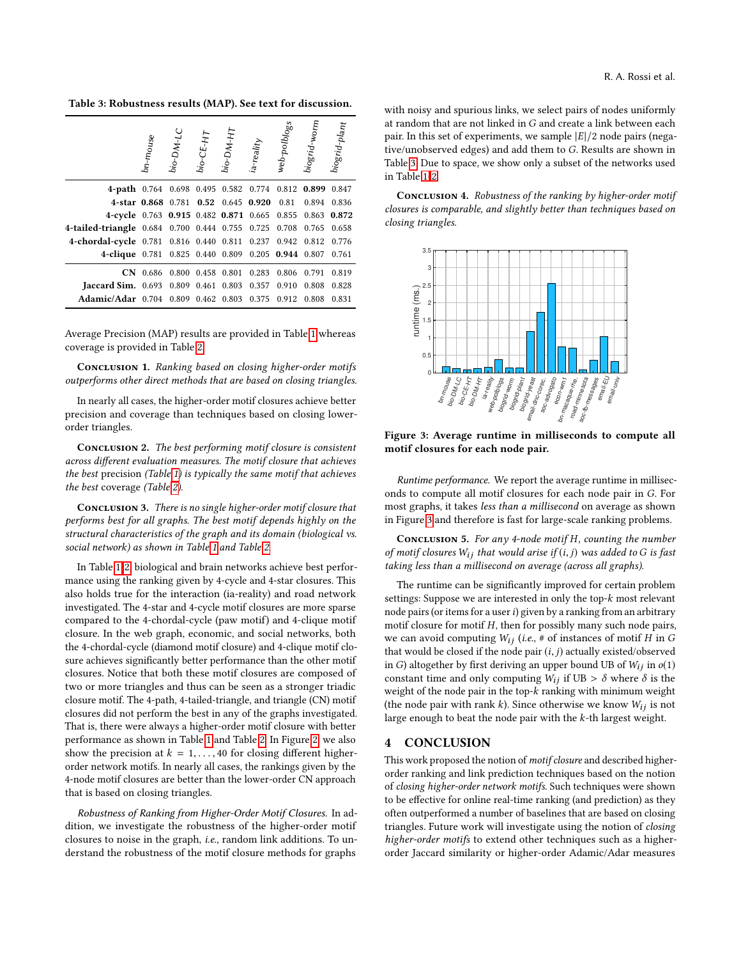<span id="page-3-0"></span>Table 3: Robustness results (MAP). See text for discussion.

|                                                       | bn-mouse | $bio-DM-LC$ | $bio-CE-H$ | bio-DM-HT               | ia-reality                    | web-polblogs | biogrid-worm | $bi$ ogrid-plant |
|-------------------------------------------------------|----------|-------------|------------|-------------------------|-------------------------------|--------------|--------------|------------------|
| 4-path $0.764$                                        |          |             |            |                         | 0.698 0.495 0.582 0.774 0.812 |              | 0.899        | 0.847            |
| 4-star 0.868 0.781 0.52 0.645 0.920                   |          |             |            |                         |                               | 0.81         | 0.894        | 0.836            |
| 4-cycle 0.763 0.915 0.482 0.871 0.665 0.855           |          |             |            |                         |                               |              | 0.863        | 0.872            |
| 4-tailed-triangle 0.684 0.700 0.444 0.755 0.725 0.708 |          |             |            |                         |                               |              | 0.765        | 0.658            |
| 4-chordal-cycle 0.781 0.816 0.440 0.811 0.237 0.942   |          |             |            |                         |                               |              | 0.812        | 0.776            |
| 4-clique 0.781 0.825 0.440 0.809 0.205 0.944 0.807    |          |             |            |                         |                               |              |              | 0.761            |
| <b>CN</b>                                             | 0.686    |             |            | 0.800 0.458 0.801       | 0.283                         | 0.806        | 0.791        | 0.819            |
| <b>Iaccard Sim.</b> 0.693                             |          |             |            | 0.809 0.461 0.803       | 0.357                         | 0.910        | 0.808        | 0.828            |
| <b>Adamic/Adar</b> 0.704                              |          |             |            | 0.809 0.462 0.803 0.375 |                               | 0.912        | 0.808        | 0.831            |

Average Precision (MAP) results are provided in Table [1](#page-1-2) whereas coverage is provided in Table [2.](#page-2-0)

CONCLUSION 1. Ranking based on closing higher-order motifs outperforms other direct methods that are based on closing triangles.

In nearly all cases, the higher-order motif closures achieve better precision and coverage than techniques based on closing lowerorder triangles.

CONCLUSION 2. The best performing motif closure is consistent across different evaluation measures. The motif closure that achieves the best precision (Table [1\)](#page-1-2) is typically the same motif that achieves the best coverage (Table [2\)](#page-2-0).

CONCLUSION 3. There is no single higher-order motif closure that performs best for all graphs. The best motif depends highly on the structural characteristics of the graph and its domain (biological vs. social network) as shown in Table [1](#page-1-2) and Table [2.](#page-2-0)

In Table [1-](#page-1-2)[2,](#page-2-0) biological and brain networks achieve best performance using the ranking given by 4-cycle and 4-star closures. This also holds true for the interaction (ia-reality) and road network investigated. The 4-star and 4-cycle motif closures are more sparse compared to the 4-chordal-cycle (paw motif) and 4-clique motif closure. In the web graph, economic, and social networks, both the 4-chordal-cycle (diamond motif closure) and 4-clique motif closure achieves significantly better performance than the other motif closures. Notice that both these motif closures are composed of two or more triangles and thus can be seen as a stronger triadic closure motif. The 4-path, 4-tailed-triangle, and triangle (CN) motif closures did not perform the best in any of the graphs investigated. That is, there were always a higher-order motif closure with better performance as shown in Table [1](#page-1-2) and Table [2.](#page-2-0) In Figure [2,](#page-2-1) we also show the precision at  $k = 1, \ldots, 40$  for closing different higherorder network motifs. In nearly all cases, the rankings given by the 4-node motif closures are better than the lower-order CN approach that is based on closing triangles.

Robustness of Ranking from Higher-Order Motif Closures. In addition, we investigate the robustness of the higher-order motif closures to noise in the graph, i.e., random link additions. To understand the robustness of the motif closure methods for graphs

with noisy and spurious links, we select pairs of nodes uniformly at random that are not linked in G and create a link between each pair. In this set of experiments, we sample  $|E|/2$  node pairs (negative/unobserved edges) and add them to G. Results are shown in Table [3.](#page-3-0) Due to space, we show only a subset of the networks used in Table [1-](#page-1-2)[2.](#page-2-0)

CONCLUSION 4. Robustness of the ranking by higher-order motif closures is comparable, and slightly better than techniques based on closing triangles.

<span id="page-3-1"></span>

Figure 3: Average runtime in milliseconds to compute all motif closures for each node pair.

Runtime performance. We report the average runtime in milliseconds to compute all motif closures for each node pair in G. For most graphs, it takes less than a millisecond on average as shown in Figure [3](#page-3-1) and therefore is fast for large-scale ranking problems.

CONCLUSION 5. For any 4-node motif  $H$ , counting the number of motif closures  $W_{ij}$  that would arise if  $(i, j)$  was added to G is fast taking less than a millisecond on average (across all graphs).

The runtime can be significantly improved for certain problem settings: Suppose we are interested in only the top- $k$  most relevant node pairs (or items for a user i) given by a ranking from an arbitrary motif closure for motif  $H$ , then for possibly many such node pairs, we can avoid computing  $W_{ij}$  (i.e., # of instances of motif H in G that would be closed if the node pair  $(i, j)$  actually existed/observed in G) altogether by first deriving an upper bound UB of  $W_{ij}$  in  $o(1)$ constant time and only computing  $W_{ij}$  if UB  $> \delta$  where  $\delta$  is the weight of the node pair in the top- $k$  ranking with minimum weight (the node pair with rank  $k$ ). Since otherwise we know  $W_{ij}$  is not large enough to beat the node pair with the k-th largest weight.

### 4 CONCLUSION

This work proposed the notion of motif closure and described higherorder ranking and link prediction techniques based on the notion of closing higher-order network motifs. Such techniques were shown to be effective for online real-time ranking (and prediction) as they often outperformed a number of baselines that are based on closing triangles. Future work will investigate using the notion of closing higher-order motifs to extend other techniques such as a higherorder Jaccard similarity or higher-order Adamic/Adar measures